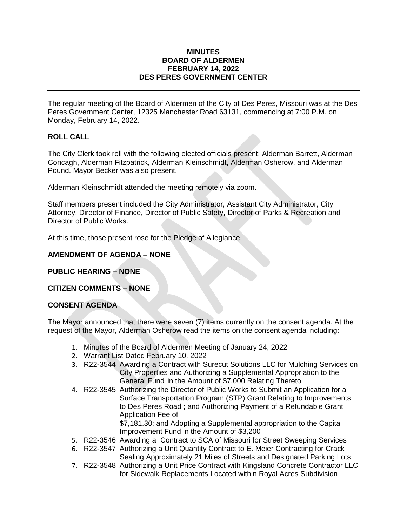#### **MINUTES BOARD OF ALDERMEN FEBRUARY 14, 2022 DES PERES GOVERNMENT CENTER**

The regular meeting of the Board of Aldermen of the City of Des Peres, Missouri was at the Des Peres Government Center, 12325 Manchester Road 63131, commencing at 7:00 P.M. on Monday, February 14, 2022.

# **ROLL CALL**

The City Clerk took roll with the following elected officials present: Alderman Barrett, Alderman Concagh, Alderman Fitzpatrick, Alderman Kleinschmidt, Alderman Osherow, and Alderman Pound. Mayor Becker was also present.

Alderman Kleinschmidt attended the meeting remotely via zoom.

Staff members present included the City Administrator, Assistant City Administrator, City Attorney, Director of Finance, Director of Public Safety, Director of Parks & Recreation and Director of Public Works.

At this time, those present rose for the Pledge of Allegiance.

# **AMENDMENT OF AGENDA – NONE**

**PUBLIC HEARING – NONE**

# **CITIZEN COMMENTS – NONE**

#### **CONSENT AGENDA**

The Mayor announced that there were seven (7) items currently on the consent agenda. At the request of the Mayor, Alderman Osherow read the items on the consent agenda including:

- 1. Minutes of the Board of Aldermen Meeting of January 24, 2022
- 2. Warrant List Dated February 10, 2022
- 3. R22-3544 Awarding a Contract with Surecut Solutions LLC for Mulching Services on City Properties and Authorizing a Supplemental Appropriation to the General Fund in the Amount of \$7,000 Relating Thereto
- 4. R22-3545 Authorizing the Director of Public Works to Submit an Application for a Surface Transportation Program (STP) Grant Relating to Improvements to Des Peres Road ; and Authorizing Payment of a Refundable Grant Application Fee of

\$7,181.30; and Adopting a Supplemental appropriation to the Capital Improvement Fund in the Amount of \$3,200

- 5. R22-3546 Awarding a Contract to SCA of Missouri for Street Sweeping Services
- 6. R22-3547 Authorizing a Unit Quantity Contract to E. Meier Contracting for Crack Sealing Approximately 21 Miles of Streets and Designated Parking Lots
- 7. R22-3548 Authorizing a Unit Price Contract with Kingsland Concrete Contractor LLC for Sidewalk Replacements Located within Royal Acres Subdivision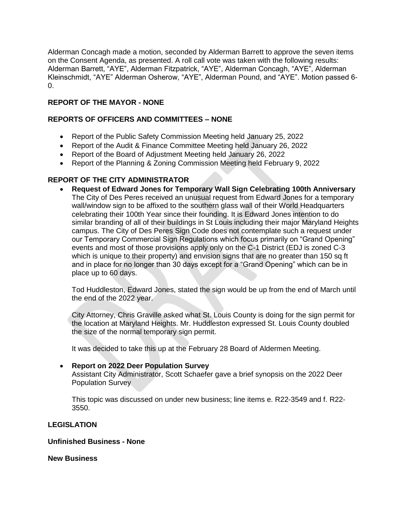Alderman Concagh made a motion, seconded by Alderman Barrett to approve the seven items on the Consent Agenda, as presented. A roll call vote was taken with the following results: Alderman Barrett, "AYE", Alderman Fitzpatrick, "AYE", Alderman Concagh, "AYE", Alderman Kleinschmidt, "AYE" Alderman Osherow, "AYE", Alderman Pound, and "AYE". Motion passed 6-  $\Omega$ .

# **REPORT OF THE MAYOR - NONE**

## **REPORTS OF OFFICERS AND COMMITTEES – NONE**

- Report of the Public Safety Commission Meeting held January 25, 2022
- Report of the Audit & Finance Committee Meeting held January 26, 2022
- Report of the Board of Adjustment Meeting held January 26, 2022
- Report of the Planning & Zoning Commission Meeting held February 9, 2022

## **REPORT OF THE CITY ADMINISTRATOR**

 **Request of Edward Jones for Temporary Wall Sign Celebrating 100th Anniversary**  The City of Des Peres received an unusual request from Edward Jones for a temporary wall/window sign to be affixed to the southern glass wall of their World Headquarters celebrating their 100th Year since their founding. It is Edward Jones intention to do similar branding of all of their buildings in St Louis including their major Maryland Heights campus. The City of Des Peres Sign Code does not contemplate such a request under our Temporary Commercial Sign Regulations which focus primarily on "Grand Opening" events and most of those provisions apply only on the C-1 District (EDJ is zoned C-3 which is unique to their property) and envision signs that are no greater than 150 sq ft and in place for no longer than 30 days except for a "Grand Opening" which can be in place up to 60 days.

Tod Huddleston, Edward Jones, stated the sign would be up from the end of March until the end of the 2022 year.

City Attorney, Chris Graville asked what St. Louis County is doing for the sign permit for the location at Maryland Heights. Mr. Huddleston expressed St. Louis County doubled the size of the normal temporary sign permit.

It was decided to take this up at the February 28 Board of Aldermen Meeting.

#### **Report on 2022 Deer Population Survey**

Assistant City Administrator, Scott Schaefer gave a brief synopsis on the 2022 Deer Population Survey

This topic was discussed on under new business; line items e. R22-3549 and f. R22- 3550.

#### **LEGISLATION**

#### **Unfinished Business - None**

**New Business**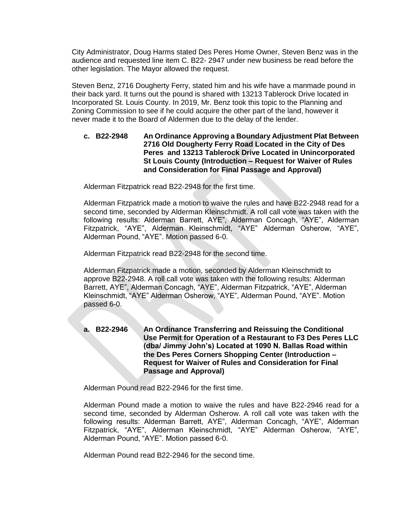City Administrator, Doug Harms stated Des Peres Home Owner, Steven Benz was in the audience and requested line item C. B22- 2947 under new business be read before the other legislation. The Mayor allowed the request.

Steven Benz, 2716 Dougherty Ferry, stated him and his wife have a manmade pound in their back yard. It turns out the pound is shared with 13213 Tablerock Drive located in Incorporated St. Louis County. In 2019, Mr. Benz took this topic to the Planning and Zoning Commission to see if he could acquire the other part of the land, however it never made it to the Board of Aldermen due to the delay of the lender.

## **c. B22-2948 An Ordinance Approving a Boundary Adjustment Plat Between 2716 Old Dougherty Ferry Road Located in the City of Des Peres and 13213 Tablerock Drive Located in Unincorporated St Louis County (Introduction – Request for Waiver of Rules and Consideration for Final Passage and Approval)**

Alderman Fitzpatrick read B22-2948 for the first time.

Alderman Fitzpatrick made a motion to waive the rules and have B22-2948 read for a second time, seconded by Alderman Kleinschmidt. A roll call vote was taken with the following results: Alderman Barrett, AYE", Alderman Concagh, "AYE", Alderman Fitzpatrick, "AYE", Alderman Kleinschmidt, "AYE" Alderman Osherow, "AYE", Alderman Pound, "AYE". Motion passed 6-0.

Alderman Fitzpatrick read B22-2948 for the second time.

Alderman Fitzpatrick made a motion, seconded by Alderman Kleinschmidt to approve B22-2948. A roll call vote was taken with the following results: Alderman Barrett, AYE", Alderman Concagh, "AYE", Alderman Fitzpatrick, "AYE", Alderman Kleinschmidt, "AYE" Alderman Osherow, "AYE", Alderman Pound, "AYE". Motion passed 6-0.

**a. B22-2946 An Ordinance Transferring and Reissuing the Conditional Use Permit for Operation of a Restaurant to F3 Des Peres LLC (dba/ Jimmy John's) Located at 1090 N. Ballas Road within the Des Peres Corners Shopping Center (Introduction – Request for Waiver of Rules and Consideration for Final Passage and Approval)**

Alderman Pound read B22-2946 for the first time.

Alderman Pound made a motion to waive the rules and have B22-2946 read for a second time, seconded by Alderman Osherow. A roll call vote was taken with the following results: Alderman Barrett, AYE", Alderman Concagh, "AYE", Alderman Fitzpatrick, "AYE", Alderman Kleinschmidt, "AYE" Alderman Osherow, "AYE", Alderman Pound, "AYE". Motion passed 6-0.

Alderman Pound read B22-2946 for the second time.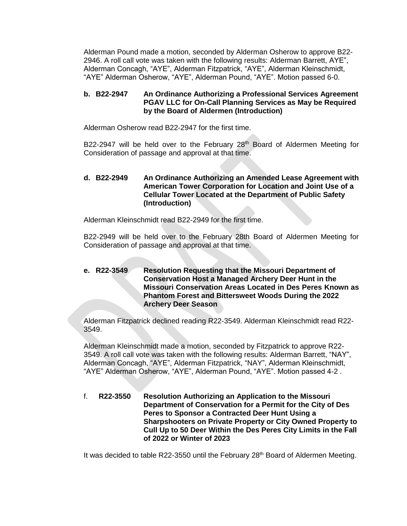Alderman Pound made a motion, seconded by Alderman Osherow to approve B22- 2946. A roll call vote was taken with the following results: Alderman Barrett, AYE", Alderman Concagh, "AYE", Alderman Fitzpatrick, "AYE", Alderman Kleinschmidt, "AYE" Alderman Osherow, "AYE", Alderman Pound, "AYE". Motion passed 6-0.

## **b. B22-2947 An Ordinance Authorizing a Professional Services Agreement PGAV LLC for On-Call Planning Services as May be Required by the Board of Aldermen (Introduction)**

Alderman Osherow read B22-2947 for the first time.

B22-2947 will be held over to the February  $28<sup>th</sup>$  Board of Aldermen Meeting for Consideration of passage and approval at that time.

## **d. B22-2949 An Ordinance Authorizing an Amended Lease Agreement with American Tower Corporation for Location and Joint Use of a Cellular Tower Located at the Department of Public Safety (Introduction)**

Alderman Kleinschmidt read B22-2949 for the first time.

B22-2949 will be held over to the February 28th Board of Aldermen Meeting for Consideration of passage and approval at that time.

**e. R22-3549 Resolution Requesting that the Missouri Department of Conservation Host a Managed Archery Deer Hunt in the Missouri Conservation Areas Located in Des Peres Known as Phantom Forest and Bittersweet Woods During the 2022 Archery Deer Season**

Alderman Fitzpatrick declined reading R22-3549. Alderman Kleinschmidt read R22- 3549.

Alderman Kleinschmidt made a motion, seconded by Fitzpatrick to approve R22- 3549. A roll call vote was taken with the following results: Alderman Barrett, "NAY", Alderman Concagh, "AYE", Alderman Fitzpatrick, "NAY", Alderman Kleinschmidt, "AYE" Alderman Osherow, "AYE", Alderman Pound, "AYE". Motion passed 4-2 .

f. **R22-3550 Resolution Authorizing an Application to the Missouri Department of Conservation for a Permit for the City of Des Peres to Sponsor a Contracted Deer Hunt Using a Sharpshooters on Private Property or City Owned Property to Cull Up to 50 Deer Within the Des Peres City Limits in the Fall of 2022 or Winter of 2023**

It was decided to table R22-3550 until the February 28<sup>th</sup> Board of Aldermen Meeting.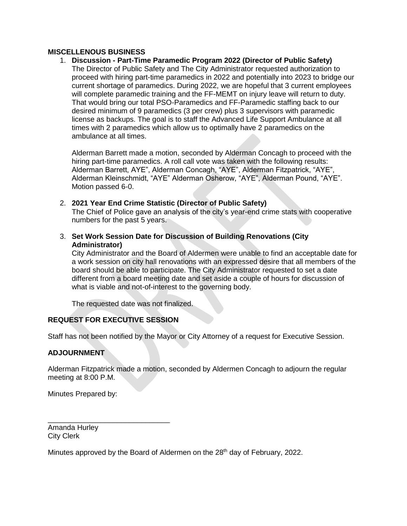## **MISCELLENOUS BUSINESS**

1. **Discussion - Part-Time Paramedic Program 2022 (Director of Public Safety)** The Director of Public Safety and The City Administrator requested authorization to proceed with hiring part-time paramedics in 2022 and potentially into 2023 to bridge our current shortage of paramedics. During 2022, we are hopeful that 3 current employees will complete paramedic training and the FF-MEMT on injury leave will return to duty. That would bring our total PSO-Paramedics and FF-Paramedic staffing back to our desired minimum of 9 paramedics (3 per crew) plus 3 supervisors with paramedic license as backups. The goal is to staff the Advanced Life Support Ambulance at all times with 2 paramedics which allow us to optimally have 2 paramedics on the ambulance at all times.

Alderman Barrett made a motion, seconded by Alderman Concagh to proceed with the hiring part-time paramedics. A roll call vote was taken with the following results: Alderman Barrett, AYE", Alderman Concagh, "AYE", Alderman Fitzpatrick, "AYE", Alderman Kleinschmidt, "AYE" Alderman Osherow, "AYE", Alderman Pound, "AYE". Motion passed 6-0.

- 2. **2021 Year End Crime Statistic (Director of Public Safety)** The Chief of Police gave an analysis of the city's year-end crime stats with cooperative numbers for the past 5 years.
- 3. **Set Work Session Date for Discussion of Building Renovations (City Administrator)**

City Administrator and the Board of Aldermen were unable to find an acceptable date for a work session on city hall renovations with an expressed desire that all members of the board should be able to participate. The City Administrator requested to set a date different from a board meeting date and set aside a couple of hours for discussion of what is viable and not-of-interest to the governing body.

The requested date was not finalized.

# **REQUEST FOR EXECUTIVE SESSION**

\_\_\_\_\_\_\_\_\_\_\_\_\_\_\_\_\_\_\_\_\_\_\_\_\_\_\_\_\_\_

Staff has not been notified by the Mayor or City Attorney of a request for Executive Session.

# **ADJOURNMENT**

Alderman Fitzpatrick made a motion, seconded by Aldermen Concagh to adjourn the regular meeting at 8:00 P.M.

Minutes Prepared by:

Amanda Hurley City Clerk

Minutes approved by the Board of Aldermen on the 28<sup>th</sup> day of February, 2022.